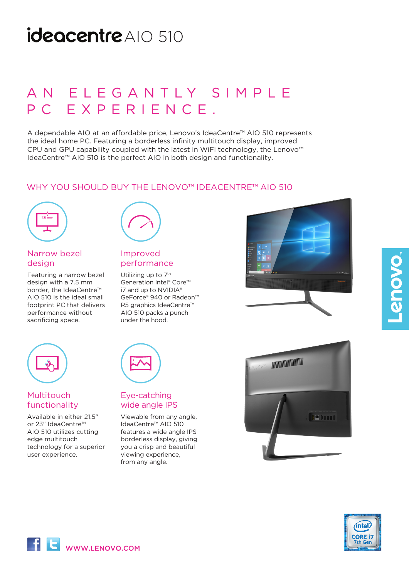## ideacentre AIO 510

## A N E L E G A N T L Y S I M P L E PC EXPERIENCE.

A dependable AIO at an affordable price, Lenovo's IdeaCentre™ AIO 510 represents the ideal home PC. Featuring a borderless infinity multitouch display, improved CPU and GPU capability coupled with the latest in WiFi technology, the Lenovo™ IdeaCentre™ AIO 510 is the perfect AIO in both design and functionality.

## WHY YOU SHOULD BUY THE LENOVO™ IDEACENTRE™ AIO 510



## Narrow bezel design

Featuring a narrow bezel design with a 7.5 mm border, the IdeaCentre™ AIO 510 is the ideal small footprint PC that delivers performance without .<br>sacrificing space.

## Improved performance

Utilizing up to 7<sup>th</sup> Generation Intel® Core™ i7 and up to NVIDIA® GeForce® 940 or Radeon™ R5 graphics IdeaCentre™ AIO 510 packs a punch under the hood.





## Multitouch functionality

Available in either 21.5" or 23" IdeaCentre™ AIO 510 utilizes cutting edge multitouch technology for a superior user experience.

## Eye-catching wide angle IPS

Viewable from any angle, IdeaCentre™ AIO 510 features a wide angle IPS borderless display, giving you a crisp and beautiful viewing experience, from any angle.